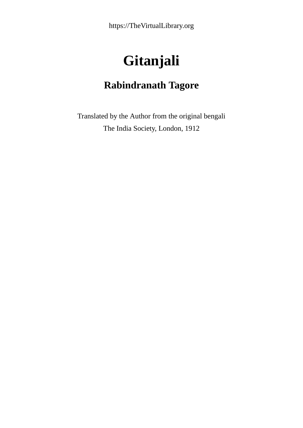https://TheVirtualLibrary.org

# **Gitanjali**

### **Rabindranath Tagore**

Translated by the Author from the original bengali The India Society, London, 1912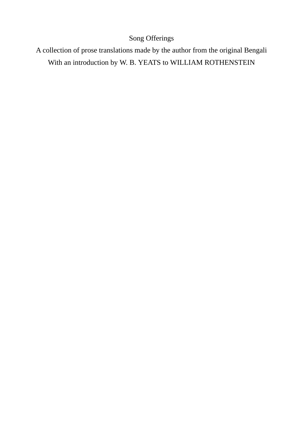#### Song Offerings

A collection of prose translations made by the author from the original Bengali With an introduction by W. B. YEATS to WILLIAM ROTHENSTEIN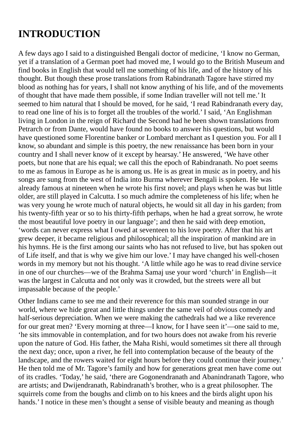## **INTRODUCTION**

A few days ago I said to a distinguished Bengali doctor of medicine, 'I know no German, yet if a translation of a German poet had moved me, I would go to the British Museum and find books in English that would tell me something of his life, and of the history of his thought. But though these prose translations from Rabindranath Tagore have stirred my blood as nothing has for years, I shall not know anything of his life, and of the movements of thought that have made them possible, if some Indian traveller will not tell me.' It seemed to him natural that I should be moved, for he said, 'I read Rabindranath every day, to read one line of his is to forget all the troubles of the world.' I said, 'An Englishman living in London in the reign of Richard the Second had he been shown translations from Petrarch or from Dante, would have found no books to answer his questions, but would have questioned some Florentine banker or Lombard merchant as I question you. For all I know, so abundant and simple is this poetry, the new renaissance has been born in your country and I shall never know of it except by hearsay.' He answered, 'We have other poets, but none that are his equal; we call this the epoch of Rabindranath. No poet seems to me as famous in Europe as he is among us. He is as great in music as in poetry, and his songs are sung from the west of India into Burma wherever Bengali is spoken. He was already famous at nineteen when he wrote his first novel; and plays when he was but little older, are still played in Calcutta. I so much admire the completeness of his life; when he was very young he wrote much of natural objects, he would sit all day in his garden; from his twenty-fifth year or so to his thirty-fifth perhaps, when he had a great sorrow, he wrote the most beautiful love poetry in our language'; and then he said with deep emotion, 'words can never express what I owed at seventeen to his love poetry. After that his art grew deeper, it became religious and philosophical; all the inspiration of mankind are in his hymns. He is the first among our saints who has not refused to live, but has spoken out of Life itself, and that is why we give him our love.' I may have changed his well-chosen words in my memory but not his thought. 'A little while ago he was to read divine service in one of our churches—we of the Brahma Samaj use your word 'church' in English—it was the largest in Calcutta and not only was it crowded, but the streets were all but impassable because of the people.'

Other Indians came to see me and their reverence for this man sounded strange in our world, where we hide great and little things under the same veil of obvious comedy and half-serious depreciation. When we were making the cathedrals had we a like reverence for our great men? 'Every morning at three—I know, for I have seen it'—one said to me, 'he sits immovable in contemplation, and for two hours does not awake from his reverie upon the nature of God. His father, the Maha Rishi, would sometimes sit there all through the next day; once, upon a river, he fell into contemplation because of the beauty of the landscape, and the rowers waited for eight hours before they could continue their journey.' He then told me of Mr. Tagore's family and how for generations great men have come out of its cradles. 'Today,' he said, 'there are Gogonendranath and Abanindranath Tagore, who are artists; and Dwijendranath, Rabindranath's brother, who is a great philosopher. The squirrels come from the boughs and climb on to his knees and the birds alight upon his hands.' I notice in these men's thought a sense of visible beauty and meaning as though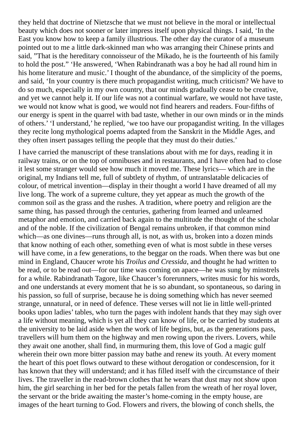they held that doctrine of Nietzsche that we must not believe in the moral or intellectual beauty which does not sooner or later impress itself upon physical things. I said, 'In the East you know how to keep a family illustrious. The other day the curator of a museum pointed out to me a little dark-skinned man who was arranging their Chinese prints and said, "That is the hereditary connoisseur of the Mikado, he is the fourteenth of his family to hold the post." 'He answered, 'When Rabindranath was a boy he had all round him in his home literature and music.' I thought of the abundance, of the simplicity of the poems, and said, 'In your country is there much propagandist writing, much criticism? We have to do so much, especially in my own country, that our minds gradually cease to be creative, and yet we cannot help it. If our life was not a continual warfare, we would not have taste, we would not know what is good, we would not find hearers and readers. Four-fifths of our energy is spent in the quarrel with bad taste, whether in our own minds or in the minds of others.' 'I understand,' he replied, 'we too have our propagandist writing. In the villages they recite long mythological poems adapted from the Sanskrit in the Middle Ages, and they often insert passages telling the people that they must do their duties.'

I have carried the manuscript of these translations about with me for days, reading it in railway trains, or on the top of omnibuses and in restaurants, and I have often had to close it lest some stranger would see how much it moved me. These lyrics— which are in the original, my Indians tell me, full of subtlety of rhythm, of untranslatable delicacies of colour, of metrical invention—display in their thought a world I have dreamed of all my live long. The work of a supreme culture, they yet appear as much the growth of the common soil as the grass and the rushes. A tradition, where poetry and religion are the same thing, has passed through the centuries, gathering from learned and unlearned metaphor and emotion, and carried back again to the multitude the thought of the scholar and of the noble. If the civilization of Bengal remains unbroken, if that common mind which—as one divines—runs through all, is not, as with us, broken into a dozen minds that know nothing of each other, something even of what is most subtle in these verses will have come, in a few generations, to the beggar on the roads. When there was but one mind in England, Chaucer wrote his *Troilus and Cressida*, and thought he had written to be read, or to be read out—for our time was coming on apace—he was sung by minstrels for a while. Rabindranath Tagore, like Chaucer's forerunners, writes music for his words, and one understands at every moment that he is so abundant, so spontaneous, so daring in his passion, so full of surprise, because he is doing something which has never seemed strange, unnatural, or in need of defence. These verses will not lie in little well-printed books upon ladies' tables, who turn the pages with indolent hands that they may sigh over a life without meaning, which is yet all they can know of life, or be carried by students at the university to be laid aside when the work of life begins, but, as the generations pass, travellers will hum them on the highway and men rowing upon the rivers. Lovers, while they await one another, shall find, in murmuring them, this love of God a magic gulf wherein their own more bitter passion may bathe and renew its youth. At every moment the heart of this poet flows outward to these without derogation or condescension, for it has known that they will understand; and it has filled itself with the circumstance of their lives. The traveller in the read-brown clothes that he wears that dust may not show upon him, the girl searching in her bed for the petals fallen from the wreath of her royal lover, the servant or the bride awaiting the master's home-coming in the empty house, are images of the heart turning to God. Flowers and rivers, the blowing of conch shells, the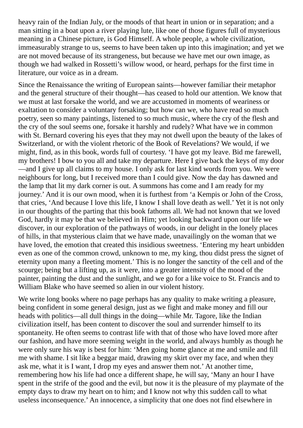heavy rain of the Indian July, or the moods of that heart in union or in separation; and a man sitting in a boat upon a river playing lute, like one of those figures full of mysterious meaning in a Chinese picture, is God Himself. A whole people, a whole civilization, immeasurably strange to us, seems to have been taken up into this imagination; and yet we are not moved because of its strangeness, but because we have met our own image, as though we had walked in Rossetti's willow wood, or heard, perhaps for the first time in literature, our voice as in a dream.

Since the Renaissance the writing of European saints—however familiar their metaphor and the general structure of their thought—has ceased to hold our attention. We know that we must at last forsake the world, and we are accustomed in moments of weariness or exaltation to consider a voluntary forsaking; but how can we, who have read so much poetry, seen so many paintings, listened to so much music, where the cry of the flesh and the cry of the soul seems one, forsake it harshly and rudely? What have we in common with St. Bernard covering his eyes that they may not dwell upon the beauty of the lakes of Switzerland, or with the violent rhetoric of the Book of Revelations? We would, if we might, find, as in this book, words full of courtesy. 'I have got my leave. Bid me farewell, my brothers! I bow to you all and take my departure. Here I give back the keys of my door —and I give up all claims to my house. I only ask for last kind words from you. We were neighbours for long, but I received more than I could give. Now the day has dawned and the lamp that lit my dark corner is out. A summons has come and I am ready for my journey.' And it is our own mood, when it is furthest from 'a Kempis or John of the Cross, that cries, 'And because I love this life, I know I shall love death as well.' Yet it is not only in our thoughts of the parting that this book fathoms all. We had not known that we loved God, hardly it may be that we believed in Him; yet looking backward upon our life we discover, in our exploration of the pathways of woods, in our delight in the lonely places of hills, in that mysterious claim that we have made, unavailingly on the woman that we have loved, the emotion that created this insidious sweetness. 'Entering my heart unbidden even as one of the common crowd, unknown to me, my king, thou didst press the signet of eternity upon many a fleeting moment.' This is no longer the sanctity of the cell and of the scourge; being but a lifting up, as it were, into a greater intensity of the mood of the painter, painting the dust and the sunlight, and we go for a like voice to St. Francis and to William Blake who have seemed so alien in our violent history.

We write long books where no page perhaps has any quality to make writing a pleasure, being confident in some general design, just as we fight and make money and fill our heads with politics—all dull things in the doing—while Mr. Tagore, like the Indian civilization itself, has been content to discover the soul and surrender himself to its spontaneity. He often seems to contrast life with that of those who have loved more after our fashion, and have more seeming weight in the world, and always humbly as though he were only sure his way is best for him: 'Men going home glance at me and smile and fill me with shame. I sit like a beggar maid, drawing my skirt over my face, and when they ask me, what it is I want, I drop my eyes and answer them not.' At another time, remembering how his life had once a different shape, he will say, 'Many an hour I have spent in the strife of the good and the evil, but now it is the pleasure of my playmate of the empty days to draw my heart on to him; and I know not why this sudden call to what useless inconsequence.' An innocence, a simplicity that one does not find elsewhere in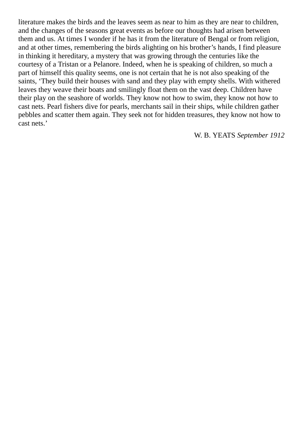literature makes the birds and the leaves seem as near to him as they are near to children, and the changes of the seasons great events as before our thoughts had arisen between them and us. At times I wonder if he has it from the literature of Bengal or from religion, and at other times, remembering the birds alighting on his brother's hands, I find pleasure in thinking it hereditary, a mystery that was growing through the centuries like the courtesy of a Tristan or a Pelanore. Indeed, when he is speaking of children, so much a part of himself this quality seems, one is not certain that he is not also speaking of the saints, 'They build their houses with sand and they play with empty shells. With withered leaves they weave their boats and smilingly float them on the vast deep. Children have their play on the seashore of worlds. They know not how to swim, they know not how to cast nets. Pearl fishers dive for pearls, merchants sail in their ships, while children gather pebbles and scatter them again. They seek not for hidden treasures, they know not how to cast nets.'

W. B. YEATS *September 1912*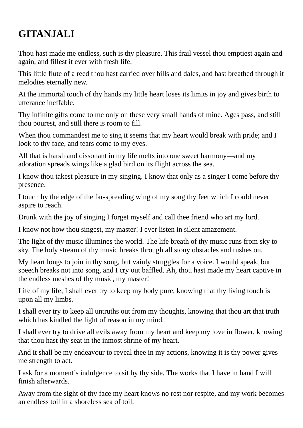## **GITANJALI**

Thou hast made me endless, such is thy pleasure. This frail vessel thou emptiest again and again, and fillest it ever with fresh life.

This little flute of a reed thou hast carried over hills and dales, and hast breathed through it melodies eternally new.

At the immortal touch of thy hands my little heart loses its limits in joy and gives birth to utterance ineffable.

Thy infinite gifts come to me only on these very small hands of mine. Ages pass, and still thou pourest, and still there is room to fill.

When thou commandest me to sing it seems that my heart would break with pride; and I look to thy face, and tears come to my eyes.

All that is harsh and dissonant in my life melts into one sweet harmony—and my adoration spreads wings like a glad bird on its flight across the sea.

I know thou takest pleasure in my singing. I know that only as a singer I come before thy presence.

I touch by the edge of the far-spreading wing of my song thy feet which I could never aspire to reach.

Drunk with the joy of singing I forget myself and call thee friend who art my lord.

I know not how thou singest, my master! I ever listen in silent amazement.

The light of thy music illumines the world. The life breath of thy music runs from sky to sky. The holy stream of thy music breaks through all stony obstacles and rushes on.

My heart longs to join in thy song, but vainly struggles for a voice. I would speak, but speech breaks not into song, and I cry out baffled. Ah, thou hast made my heart captive in the endless meshes of thy music, my master!

Life of my life, I shall ever try to keep my body pure, knowing that thy living touch is upon all my limbs.

I shall ever try to keep all untruths out from my thoughts, knowing that thou art that truth which has kindled the light of reason in my mind.

I shall ever try to drive all evils away from my heart and keep my love in flower, knowing that thou hast thy seat in the inmost shrine of my heart.

And it shall be my endeavour to reveal thee in my actions, knowing it is thy power gives me strength to act.

I ask for a moment's indulgence to sit by thy side. The works that I have in hand I will finish afterwards.

Away from the sight of thy face my heart knows no rest nor respite, and my work becomes an endless toil in a shoreless sea of toil.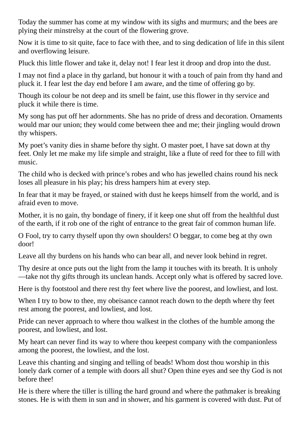Today the summer has come at my window with its sighs and murmurs; and the bees are plying their minstrelsy at the court of the flowering grove.

Now it is time to sit quite, face to face with thee, and to sing dedication of life in this silent and overflowing leisure.

Pluck this little flower and take it, delay not! I fear lest it droop and drop into the dust.

I may not find a place in thy garland, but honour it with a touch of pain from thy hand and pluck it. I fear lest the day end before I am aware, and the time of offering go by.

Though its colour be not deep and its smell be faint, use this flower in thy service and pluck it while there is time.

My song has put off her adornments. She has no pride of dress and decoration. Ornaments would mar our union; they would come between thee and me; their jingling would drown thy whispers.

My poet's vanity dies in shame before thy sight. O master poet, I have sat down at thy feet. Only let me make my life simple and straight, like a flute of reed for thee to fill with music.

The child who is decked with prince's robes and who has jewelled chains round his neck loses all pleasure in his play; his dress hampers him at every step.

In fear that it may be frayed, or stained with dust he keeps himself from the world, and is afraid even to move.

Mother, it is no gain, thy bondage of finery, if it keep one shut off from the healthful dust of the earth, if it rob one of the right of entrance to the great fair of common human life.

O Fool, try to carry thyself upon thy own shoulders! O beggar, to come beg at thy own door!

Leave all thy burdens on his hands who can bear all, and never look behind in regret.

Thy desire at once puts out the light from the lamp it touches with its breath. It is unholy —take not thy gifts through its unclean hands. Accept only what is offered by sacred love.

Here is thy footstool and there rest thy feet where live the poorest, and lowliest, and lost.

When I try to bow to thee, my obeisance cannot reach down to the depth where thy feet rest among the poorest, and lowliest, and lost.

Pride can never approach to where thou walkest in the clothes of the humble among the poorest, and lowliest, and lost.

My heart can never find its way to where thou keepest company with the companionless among the poorest, the lowliest, and the lost.

Leave this chanting and singing and telling of beads! Whom dost thou worship in this lonely dark corner of a temple with doors all shut? Open thine eyes and see thy God is not before thee!

He is there where the tiller is tilling the hard ground and where the pathmaker is breaking stones. He is with them in sun and in shower, and his garment is covered with dust. Put of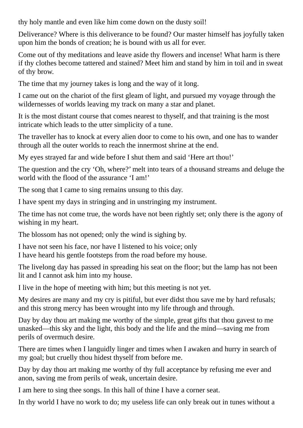thy holy mantle and even like him come down on the dusty soil!

Deliverance? Where is this deliverance to be found? Our master himself has joyfully taken upon him the bonds of creation; he is bound with us all for ever.

Come out of thy meditations and leave aside thy flowers and incense! What harm is there if thy clothes become tattered and stained? Meet him and stand by him in toil and in sweat of thy brow.

The time that my journey takes is long and the way of it long.

I came out on the chariot of the first gleam of light, and pursued my voyage through the wildernesses of worlds leaving my track on many a star and planet.

It is the most distant course that comes nearest to thyself, and that training is the most intricate which leads to the utter simplicity of a tune.

The traveller has to knock at every alien door to come to his own, and one has to wander through all the outer worlds to reach the innermost shrine at the end.

My eyes strayed far and wide before I shut them and said 'Here art thou!'

The question and the cry 'Oh, where?' melt into tears of a thousand streams and deluge the world with the flood of the assurance 'I am!'

The song that I came to sing remains unsung to this day.

I have spent my days in stringing and in unstringing my instrument.

The time has not come true, the words have not been rightly set; only there is the agony of wishing in my heart.

The blossom has not opened; only the wind is sighing by.

I have not seen his face, nor have I listened to his voice; only I have heard his gentle footsteps from the road before my house.

The livelong day has passed in spreading his seat on the floor; but the lamp has not been lit and I cannot ask him into my house.

I live in the hope of meeting with him; but this meeting is not yet.

My desires are many and my cry is pitiful, but ever didst thou save me by hard refusals; and this strong mercy has been wrought into my life through and through.

Day by day thou art making me worthy of the simple, great gifts that thou gavest to me unasked—this sky and the light, this body and the life and the mind—saving me from perils of overmuch desire.

There are times when I languidly linger and times when I awaken and hurry in search of my goal; but cruelly thou hidest thyself from before me.

Day by day thou art making me worthy of thy full acceptance by refusing me ever and anon, saving me from perils of weak, uncertain desire.

I am here to sing thee songs. In this hall of thine I have a corner seat.

In thy world I have no work to do; my useless life can only break out in tunes without a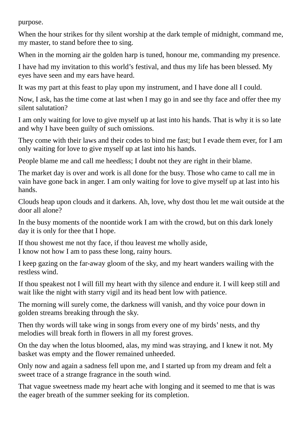purpose.

When the hour strikes for thy silent worship at the dark temple of midnight, command me, my master, to stand before thee to sing.

When in the morning air the golden harp is tuned, honour me, commanding my presence.

I have had my invitation to this world's festival, and thus my life has been blessed. My eyes have seen and my ears have heard.

It was my part at this feast to play upon my instrument, and I have done all I could.

Now, I ask, has the time come at last when I may go in and see thy face and offer thee my silent salutation?

I am only waiting for love to give myself up at last into his hands. That is why it is so late and why I have been guilty of such omissions.

They come with their laws and their codes to bind me fast; but I evade them ever, for I am only waiting for love to give myself up at last into his hands.

People blame me and call me heedless; I doubt not they are right in their blame.

The market day is over and work is all done for the busy. Those who came to call me in vain have gone back in anger. I am only waiting for love to give myself up at last into his hands.

Clouds heap upon clouds and it darkens. Ah, love, why dost thou let me wait outside at the door all alone?

In the busy moments of the noontide work I am with the crowd, but on this dark lonely day it is only for thee that I hope.

If thou showest me not thy face, if thou leavest me wholly aside, I know not how I am to pass these long, rainy hours.

I keep gazing on the far-away gloom of the sky, and my heart wanders wailing with the restless wind.

If thou speakest not I will fill my heart with thy silence and endure it. I will keep still and wait like the night with starry vigil and its head bent low with patience.

The morning will surely come, the darkness will vanish, and thy voice pour down in golden streams breaking through the sky.

Then thy words will take wing in songs from every one of my birds' nests, and thy melodies will break forth in flowers in all my forest groves.

On the day when the lotus bloomed, alas, my mind was straying, and I knew it not. My basket was empty and the flower remained unheeded.

Only now and again a sadness fell upon me, and I started up from my dream and felt a sweet trace of a strange fragrance in the south wind.

That vague sweetness made my heart ache with longing and it seemed to me that is was the eager breath of the summer seeking for its completion.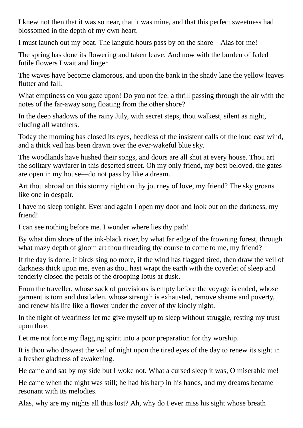I knew not then that it was so near, that it was mine, and that this perfect sweetness had blossomed in the depth of my own heart.

I must launch out my boat. The languid hours pass by on the shore—Alas for me!

The spring has done its flowering and taken leave. And now with the burden of faded futile flowers I wait and linger.

The waves have become clamorous, and upon the bank in the shady lane the yellow leaves flutter and fall.

What emptiness do you gaze upon! Do you not feel a thrill passing through the air with the notes of the far-away song floating from the other shore?

In the deep shadows of the rainy July, with secret steps, thou walkest, silent as night, eluding all watchers.

Today the morning has closed its eyes, heedless of the insistent calls of the loud east wind, and a thick veil has been drawn over the ever-wakeful blue sky.

The woodlands have hushed their songs, and doors are all shut at every house. Thou art the solitary wayfarer in this deserted street. Oh my only friend, my best beloved, the gates are open in my house—do not pass by like a dream.

Art thou abroad on this stormy night on thy journey of love, my friend? The sky groans like one in despair.

I have no sleep tonight. Ever and again I open my door and look out on the darkness, my friend!

I can see nothing before me. I wonder where lies thy path!

By what dim shore of the ink-black river, by what far edge of the frowning forest, through what mazy depth of gloom art thou threading thy course to come to me, my friend?

If the day is done, if birds sing no more, if the wind has flagged tired, then draw the veil of darkness thick upon me, even as thou hast wrapt the earth with the coverlet of sleep and tenderly closed the petals of the drooping lotus at dusk.

From the traveller, whose sack of provisions is empty before the voyage is ended, whose garment is torn and dustladen, whose strength is exhausted, remove shame and poverty, and renew his life like a flower under the cover of thy kindly night.

In the night of weariness let me give myself up to sleep without struggle, resting my trust upon thee.

Let me not force my flagging spirit into a poor preparation for thy worship.

It is thou who drawest the veil of night upon the tired eyes of the day to renew its sight in a fresher gladness of awakening.

He came and sat by my side but I woke not. What a cursed sleep it was, O miserable me!

He came when the night was still; he had his harp in his hands, and my dreams became resonant with its melodies.

Alas, why are my nights all thus lost? Ah, why do I ever miss his sight whose breath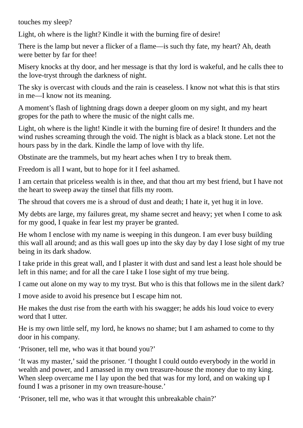touches my sleep?

Light, oh where is the light? Kindle it with the burning fire of desire!

There is the lamp but never a flicker of a flame—is such thy fate, my heart? Ah, death were better by far for thee!

Misery knocks at thy door, and her message is that thy lord is wakeful, and he calls thee to the love-tryst through the darkness of night.

The sky is overcast with clouds and the rain is ceaseless. I know not what this is that stirs in me—I know not its meaning.

A moment's flash of lightning drags down a deeper gloom on my sight, and my heart gropes for the path to where the music of the night calls me.

Light, oh where is the light! Kindle it with the burning fire of desire! It thunders and the wind rushes screaming through the void. The night is black as a black stone. Let not the hours pass by in the dark. Kindle the lamp of love with thy life.

Obstinate are the trammels, but my heart aches when I try to break them.

Freedom is all I want, but to hope for it I feel ashamed.

I am certain that priceless wealth is in thee, and that thou art my best friend, but I have not the heart to sweep away the tinsel that fills my room.

The shroud that covers me is a shroud of dust and death; I hate it, yet hug it in love.

My debts are large, my failures great, my shame secret and heavy; yet when I come to ask for my good, I quake in fear lest my prayer be granted.

He whom I enclose with my name is weeping in this dungeon. I am ever busy building this wall all around; and as this wall goes up into the sky day by day I lose sight of my true being in its dark shadow.

I take pride in this great wall, and I plaster it with dust and sand lest a least hole should be left in this name; and for all the care I take I lose sight of my true being.

I came out alone on my way to my tryst. But who is this that follows me in the silent dark?

I move aside to avoid his presence but I escape him not.

He makes the dust rise from the earth with his swagger; he adds his loud voice to every word that I utter.

He is my own little self, my lord, he knows no shame; but I am ashamed to come to thy door in his company.

'Prisoner, tell me, who was it that bound you?'

'It was my master,'said the prisoner. 'I thought I could outdo everybody in the world in wealth and power, and I amassed in my own treasure-house the money due to my king. When sleep overcame me I lay upon the bed that was for my lord, and on waking up I found I was a prisoner in my own treasure-house.'

'Prisoner, tell me, who was it that wrought this unbreakable chain?'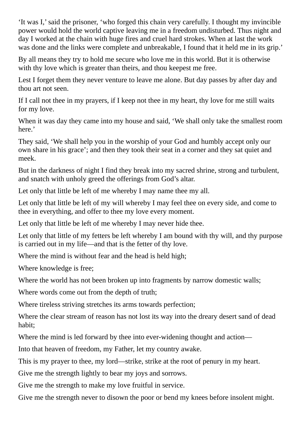'It was I,'said the prisoner, 'who forged this chain very carefully. I thought my invincible power would hold the world captive leaving me in a freedom undisturbed. Thus night and day I worked at the chain with huge fires and cruel hard strokes. When at last the work was done and the links were complete and unbreakable, I found that it held me in its grip.'

By all means they try to hold me secure who love me in this world. But it is otherwise with thy love which is greater than theirs, and thou keepest me free.

Lest I forget them they never venture to leave me alone. But day passes by after day and thou art not seen.

If I call not thee in my prayers, if I keep not thee in my heart, thy love for me still waits for my love.

When it was day they came into my house and said, 'We shall only take the smallest room here.'

They said, 'We shall help you in the worship of your God and humbly accept only our own share in his grace'; and then they took their seat in a corner and they sat quiet and meek.

But in the darkness of night I find they break into my sacred shrine, strong and turbulent, and snatch with unholy greed the offerings from God's altar.

Let only that little be left of me whereby I may name thee my all.

Let only that little be left of my will whereby I may feel thee on every side, and come to thee in everything, and offer to thee my love every moment.

Let only that little be left of me whereby I may never hide thee.

Let only that little of my fetters be left whereby I am bound with thy will, and thy purpose is carried out in my life—and that is the fetter of thy love.

Where the mind is without fear and the head is held high;

Where knowledge is free;

Where the world has not been broken up into fragments by narrow domestic walls;

Where words come out from the depth of truth;

Where tireless striving stretches its arms towards perfection;

Where the clear stream of reason has not lost its way into the dreary desert sand of dead habit;

Where the mind is led forward by thee into ever-widening thought and action—

Into that heaven of freedom, my Father, let my country awake.

This is my prayer to thee, my lord—strike, strike at the root of penury in my heart.

Give me the strength lightly to bear my joys and sorrows.

Give me the strength to make my love fruitful in service.

Give me the strength never to disown the poor or bend my knees before insolent might.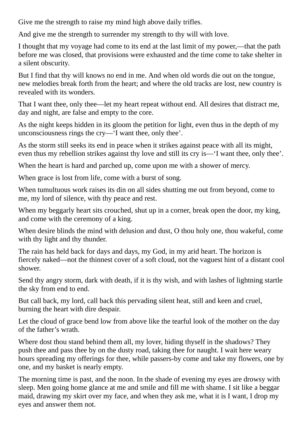Give me the strength to raise my mind high above daily trifles.

And give me the strength to surrender my strength to thy will with love.

I thought that my voyage had come to its end at the last limit of my power,—that the path before me was closed, that provisions were exhausted and the time come to take shelter in a silent obscurity.

But I find that thy will knows no end in me. And when old words die out on the tongue, new melodies break forth from the heart; and where the old tracks are lost, new country is revealed with its wonders.

That I want thee, only thee—let my heart repeat without end. All desires that distract me, day and night, are false and empty to the core.

As the night keeps hidden in its gloom the petition for light, even thus in the depth of my unconsciousness rings the cry—'I want thee, only thee'.

As the storm still seeks its end in peace when it strikes against peace with all its might, even thus my rebellion strikes against thy love and still its cry is—'I want thee, only thee'.

When the heart is hard and parched up, come upon me with a shower of mercy.

When grace is lost from life, come with a burst of song.

When tumultuous work raises its din on all sides shutting me out from beyond, come to me, my lord of silence, with thy peace and rest.

When my beggarly heart sits crouched, shut up in a corner, break open the door, my king, and come with the ceremony of a king.

When desire blinds the mind with delusion and dust, O thou holy one, thou wakeful, come with thy light and thy thunder.

The rain has held back for days and days, my God, in my arid heart. The horizon is fiercely naked—not the thinnest cover of a soft cloud, not the vaguest hint of a distant cool shower.

Send thy angry storm, dark with death, if it is thy wish, and with lashes of lightning startle the sky from end to end.

But call back, my lord, call back this pervading silent heat, still and keen and cruel, burning the heart with dire despair.

Let the cloud of grace bend low from above like the tearful look of the mother on the day of the father's wrath.

Where dost thou stand behind them all, my lover, hiding thyself in the shadows? They push thee and pass thee by on the dusty road, taking thee for naught. I wait here weary hours spreading my offerings for thee, while passers-by come and take my flowers, one by one, and my basket is nearly empty.

The morning time is past, and the noon. In the shade of evening my eyes are drowsy with sleep. Men going home glance at me and smile and fill me with shame. I sit like a beggar maid, drawing my skirt over my face, and when they ask me, what it is I want, I drop my eyes and answer them not.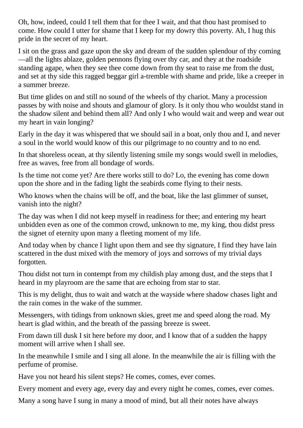Oh, how, indeed, could I tell them that for thee I wait, and that thou hast promised to come. How could I utter for shame that I keep for my dowry this poverty. Ah, I hug this pride in the secret of my heart.

I sit on the grass and gaze upon the sky and dream of the sudden splendour of thy coming —all the lights ablaze, golden pennons flying over thy car, and they at the roadside standing agape, when they see thee come down from thy seat to raise me from the dust, and set at thy side this ragged beggar girl a-tremble with shame and pride, like a creeper in a summer breeze.

But time glides on and still no sound of the wheels of thy chariot. Many a procession passes by with noise and shouts and glamour of glory. Is it only thou who wouldst stand in the shadow silent and behind them all? And only I who would wait and weep and wear out my heart in vain longing?

Early in the day it was whispered that we should sail in a boat, only thou and I, and never a soul in the world would know of this our pilgrimage to no country and to no end.

In that shoreless ocean, at thy silently listening smile my songs would swell in melodies, free as waves, free from all bondage of words.

Is the time not come yet? Are there works still to do? Lo, the evening has come down upon the shore and in the fading light the seabirds come flying to their nests.

Who knows when the chains will be off, and the boat, like the last glimmer of sunset, vanish into the night?

The day was when I did not keep myself in readiness for thee; and entering my heart unbidden even as one of the common crowd, unknown to me, my king, thou didst press the signet of eternity upon many a fleeting moment of my life.

And today when by chance I light upon them and see thy signature, I find they have lain scattered in the dust mixed with the memory of joys and sorrows of my trivial days forgotten.

Thou didst not turn in contempt from my childish play among dust, and the steps that I heard in my playroom are the same that are echoing from star to star.

This is my delight, thus to wait and watch at the wayside where shadow chases light and the rain comes in the wake of the summer.

Messengers, with tidings from unknown skies, greet me and speed along the road. My heart is glad within, and the breath of the passing breeze is sweet.

From dawn till dusk I sit here before my door, and I know that of a sudden the happy moment will arrive when I shall see.

In the meanwhile I smile and I sing all alone. In the meanwhile the air is filling with the perfume of promise.

Have you not heard his silent steps? He comes, comes, ever comes.

Every moment and every age, every day and every night he comes, comes, ever comes.

Many a song have I sung in many a mood of mind, but all their notes have always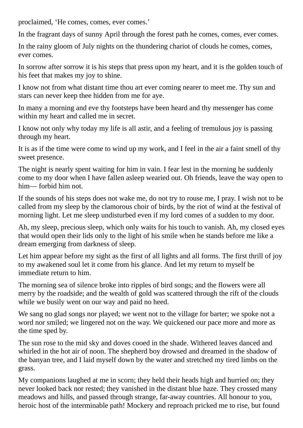proclaimed, 'He comes, comes, ever comes.'

In the fragrant days of sunny April through the forest path he comes, comes, ever comes.

In the rainy gloom of July nights on the thundering chariot of clouds he comes, comes, ever comes.

In sorrow after sorrow it is his steps that press upon my heart, and it is the golden touch of his feet that makes my joy to shine.

I know not from what distant time thou art ever coming nearer to meet me. Thy sun and stars can never keep thee hidden from me for aye.

In many a morning and eve thy footsteps have been heard and thy messenger has come within my heart and called me in secret.

I know not only why today my life is all astir, and a feeling of tremulous joy is passing through my heart.

It is as if the time were come to wind up my work, and I feel in the air a faint smell of thy sweet presence.

The night is nearly spent waiting for him in vain. I fear lest in the morning he suddenly come to my door when I have fallen asleep wearied out. Oh friends, leave the way open to him— forbid him not.

If the sounds of his steps does not wake me, do not try to rouse me, I pray. I wish not to be called from my sleep by the clamorous choir of birds, by the riot of wind at the festival of morning light. Let me sleep undisturbed even if my lord comes of a sudden to my door.

Ah, my sleep, precious sleep, which only waits for his touch to vanish. Ah, my closed eyes that would open their lids only to the light of his smile when he stands before me like a dream emerging from darkness of sleep.

Let him appear before my sight as the first of all lights and all forms. The first thrill of joy to my awakened soul let it come from his glance. And let my return to myself be immediate return to him.

The morning sea of silence broke into ripples of bird songs; and the flowers were all merry by the roadside; and the wealth of gold was scattered through the rift of the clouds while we busily went on our way and paid no heed.

We sang no glad songs nor played; we went not to the village for barter; we spoke not a word nor smiled; we lingered not on the way. We quickened our pace more and more as the time sped by.

The sun rose to the mid sky and doves cooed in the shade. Withered leaves danced and whirled in the hot air of noon. The shepherd boy drowsed and dreamed in the shadow of the banyan tree, and I laid myself down by the water and stretched my tired limbs on the grass.

My companions laughed at me in scorn; they held their heads high and hurried on; they never looked back nor rested; they vanished in the distant blue haze. They crossed many meadows and hills, and passed through strange, far-away countries. All honour to you, heroic host of the interminable path! Mockery and reproach pricked me to rise, but found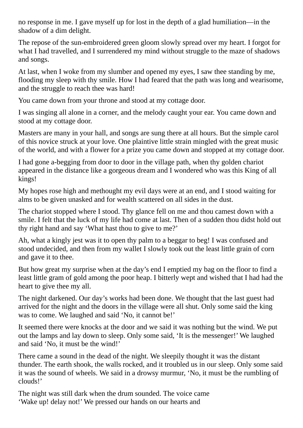no response in me. I gave myself up for lost in the depth of a glad humiliation—in the shadow of a dim delight.

The repose of the sun-embroidered green gloom slowly spread over my heart. I forgot for what I had travelled, and I surrendered my mind without struggle to the maze of shadows and songs.

At last, when I woke from my slumber and opened my eyes, I saw thee standing by me, flooding my sleep with thy smile. How I had feared that the path was long and wearisome, and the struggle to reach thee was hard!

You came down from your throne and stood at my cottage door.

I was singing all alone in a corner, and the melody caught your ear. You came down and stood at my cottage door.

Masters are many in your hall, and songs are sung there at all hours. But the simple carol of this novice struck at your love. One plaintive little strain mingled with the great music of the world, and with a flower for a prize you came down and stopped at my cottage door.

I had gone a-begging from door to door in the village path, when thy golden chariot appeared in the distance like a gorgeous dream and I wondered who was this King of all kings!

My hopes rose high and methought my evil days were at an end, and I stood waiting for alms to be given unasked and for wealth scattered on all sides in the dust.

The chariot stopped where I stood. Thy glance fell on me and thou camest down with a smile. I felt that the luck of my life had come at last. Then of a sudden thou didst hold out thy right hand and say 'What hast thou to give to me?'

Ah, what a kingly jest was it to open thy palm to a beggar to beg! I was confused and stood undecided, and then from my wallet I slowly took out the least little grain of corn and gave it to thee.

But how great my surprise when at the day's end I emptied my bag on the floor to find a least little gram of gold among the poor heap. I bitterly wept and wished that I had had the heart to give thee my all.

The night darkened. Our day's works had been done. We thought that the last guest had arrived for the night and the doors in the village were all shut. Only some said the king was to come. We laughed and said 'No, it cannot be!'

It seemed there were knocks at the door and we said it was nothing but the wind. We put out the lamps and lay down to sleep. Only some said, 'It is the messenger!' We laughed and said 'No, it must be the wind!'

There came a sound in the dead of the night. We sleepily thought it was the distant thunder. The earth shook, the walls rocked, and it troubled us in our sleep. Only some said it was the sound of wheels. We said in a drowsy murmur, 'No, it must be the rumbling of clouds!'

The night was still dark when the drum sounded. The voice came 'Wake up! delay not!' We pressed our hands on our hearts and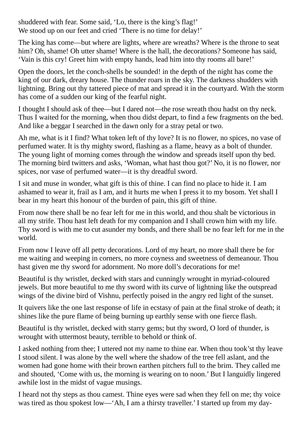shuddered with fear. Some said, 'Lo, there is the king's flag!' We stood up on our feet and cried 'There is no time for delay!'

The king has come—but where are lights, where are wreaths? Where is the throne to seat him? Oh, shame! Oh utter shame! Where is the hall, the decorations? Someone has said, 'Vain is this cry! Greet him with empty hands, lead him into thy rooms all bare!'

Open the doors, let the conch-shells be sounded! in the depth of the night has come the king of our dark, dreary house. The thunder roars in the sky. The darkness shudders with lightning. Bring out thy tattered piece of mat and spread it in the courtyard. With the storm has come of a sudden our king of the fearful night.

I thought I should ask of thee—but I dared not—the rose wreath thou hadst on thy neck. Thus I waited for the morning, when thou didst depart, to find a few fragments on the bed. And like a beggar I searched in the dawn only for a stray petal or two.

Ah me, what is it I find? What token left of thy love? It is no flower, no spices, no vase of perfumed water. It is thy mighty sword, flashing as a flame, heavy as a bolt of thunder. The young light of morning comes through the window and spreads itself upon thy bed. The morning bird twitters and asks, 'Woman, what hast thou got?' No, it is no flower, nor spices, nor vase of perfumed water—it is thy dreadful sword.

I sit and muse in wonder, what gift is this of thine. I can find no place to hide it. I am ashamed to wear it, frail as I am, and it hurts me when I press it to my bosom. Yet shall I bear in my heart this honour of the burden of pain, this gift of thine.

From now there shall be no fear left for me in this world, and thou shalt be victorious in all my strife. Thou hast left death for my companion and I shall crown him with my life. Thy sword is with me to cut asunder my bonds, and there shall be no fear left for me in the world.

From now I leave off all petty decorations. Lord of my heart, no more shall there be for me waiting and weeping in corners, no more coyness and sweetness of demeanour. Thou hast given me thy sword for adornment. No more doll's decorations for me!

Beautiful is thy wristlet, decked with stars and cunningly wrought in myriad-coloured jewels. But more beautiful to me thy sword with its curve of lightning like the outspread wings of the divine bird of Vishnu, perfectly poised in the angry red light of the sunset.

It quivers like the one last response of life in ecstasy of pain at the final stroke of death; it shines like the pure flame of being burning up earthly sense with one fierce flash.

Beautiful is thy wristlet, decked with starry gems; but thy sword, O lord of thunder, is wrought with uttermost beauty, terrible to behold or think of.

I asked nothing from thee; I uttered not my name to thine ear. When thou took'st thy leave I stood silent. I was alone by the well where the shadow of the tree fell aslant, and the women had gone home with their brown earthen pitchers full to the brim. They called me and shouted, 'Come with us, the morning is wearing on to noon.' But I languidly lingered awhile lost in the midst of vague musings.

I heard not thy steps as thou camest. Thine eyes were sad when they fell on me; thy voice was tired as thou spokest low—'Ah, I am a thirsty traveller.' I started up from my day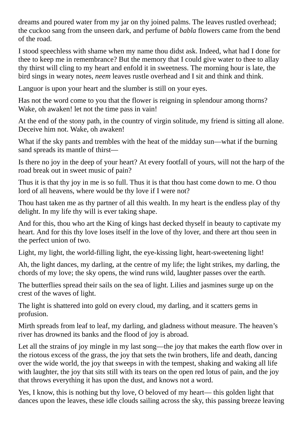dreams and poured water from my jar on thy joined palms. The leaves rustled overhead; the cuckoo sang from the unseen dark, and perfume of *babla* flowers came from the bend of the road.

I stood speechless with shame when my name thou didst ask. Indeed, what had I done for thee to keep me in remembrance? But the memory that I could give water to thee to allay thy thirst will cling to my heart and enfold it in sweetness. The morning hour is late, the bird sings in weary notes, *neem* leaves rustle overhead and I sit and think and think.

Languor is upon your heart and the slumber is still on your eyes.

Has not the word come to you that the flower is reigning in splendour among thorns? Wake, oh awaken! let not the time pass in vain!

At the end of the stony path, in the country of virgin solitude, my friend is sitting all alone. Deceive him not. Wake, oh awaken!

What if the sky pants and trembles with the heat of the midday sun—what if the burning sand spreads its mantle of thirst—

Is there no joy in the deep of your heart? At every footfall of yours, will not the harp of the road break out in sweet music of pain?

Thus it is that thy joy in me is so full. Thus it is that thou hast come down to me. O thou lord of all heavens, where would be thy love if I were not?

Thou hast taken me as thy partner of all this wealth. In my heart is the endless play of thy delight. In my life thy will is ever taking shape.

And for this, thou who art the King of kings hast decked thyself in beauty to captivate my heart. And for this thy love loses itself in the love of thy lover, and there art thou seen in the perfect union of two.

Light, my light, the world-filling light, the eye-kissing light, heart-sweetening light!

Ah, the light dances, my darling, at the centre of my life; the light strikes, my darling, the chords of my love; the sky opens, the wind runs wild, laughter passes over the earth.

The butterflies spread their sails on the sea of light. Lilies and jasmines surge up on the crest of the waves of light.

The light is shattered into gold on every cloud, my darling, and it scatters gems in profusion.

Mirth spreads from leaf to leaf, my darling, and gladness without measure. The heaven's river has drowned its banks and the flood of joy is abroad.

Let all the strains of joy mingle in my last song—the joy that makes the earth flow over in the riotous excess of the grass, the joy that sets the twin brothers, life and death, dancing over the wide world, the joy that sweeps in with the tempest, shaking and waking all life with laughter, the joy that sits still with its tears on the open red lotus of pain, and the joy that throws everything it has upon the dust, and knows not a word.

Yes, I know, this is nothing but thy love, O beloved of my heart— this golden light that dances upon the leaves, these idle clouds sailing across the sky, this passing breeze leaving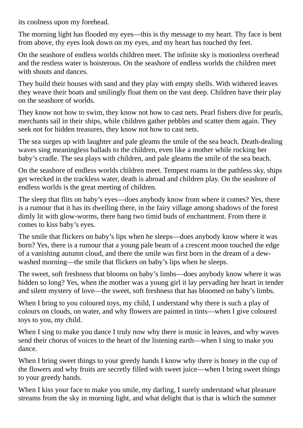its coolness upon my forehead.

The morning light has flooded my eyes—this is thy message to my heart. Thy face is bent from above, thy eyes look down on my eyes, and my heart has touched thy feet.

On the seashore of endless worlds children meet. The infinite sky is motionless overhead and the restless water is boisterous. On the seashore of endless worlds the children meet with shouts and dances

They build their houses with sand and they play with empty shells. With withered leaves they weave their boats and smilingly float them on the vast deep. Children have their play on the seashore of worlds.

They know not how to swim, they know not how to cast nets. Pearl fishers dive for pearls, merchants sail in their ships, while children gather pebbles and scatter them again. They seek not for hidden treasures, they know not how to cast nets.

The sea surges up with laughter and pale gleams the smile of the sea beach. Death-dealing waves sing meaningless ballads to the children, even like a mother while rocking her baby's cradle. The sea plays with children, and pale gleams the smile of the sea beach.

On the seashore of endless worlds children meet. Tempest roams in the pathless sky, ships get wrecked in the trackless water, death is abroad and children play. On the seashore of endless worlds is the great meeting of children.

The sleep that flits on baby's eyes—does anybody know from where it comes? Yes, there is a rumour that it has its dwelling there, in the fairy village among shadows of the forest dimly lit with glow-worms, there hang two timid buds of enchantment. From there it comes to kiss baby's eyes.

The smile that flickers on baby's lips when he sleeps—does anybody know where it was born? Yes, there is a rumour that a young pale beam of a crescent moon touched the edge of a vanishing autumn cloud, and there the smile was first born in the dream of a dewwashed morning—the smile that flickers on baby's lips when he sleeps.

The sweet, soft freshness that blooms on baby's limbs—does anybody know where it was hidden so long? Yes, when the mother was a young girl it lay pervading her heart in tender and silent mystery of love—the sweet, soft freshness that has bloomed on baby's limbs.

When I bring to you coloured toys, my child, I understand why there is such a play of colours on clouds, on water, and why flowers are painted in tints—when I give coloured toys to you, my child.

When I sing to make you dance I truly now why there is music in leaves, and why waves send their chorus of voices to the heart of the listening earth—when I sing to make you dance.

When I bring sweet things to your greedy hands I know why there is honey in the cup of the flowers and why fruits are secretly filled with sweet juice—when I bring sweet things to your greedy hands.

When I kiss your face to make you smile, my darling, I surely understand what pleasure streams from the sky in morning light, and what delight that is that is which the summer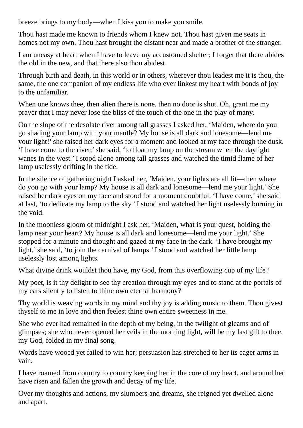breeze brings to my body—when I kiss you to make you smile.

Thou hast made me known to friends whom I knew not. Thou hast given me seats in homes not my own. Thou hast brought the distant near and made a brother of the stranger.

I am uneasy at heart when I have to leave my accustomed shelter; I forget that there abides the old in the new, and that there also thou abidest.

Through birth and death, in this world or in others, wherever thou leadest me it is thou, the same, the one companion of my endless life who ever linkest my heart with bonds of joy to the unfamiliar.

When one knows thee, then alien there is none, then no door is shut. Oh, grant me my prayer that I may never lose the bliss of the touch of the one in the play of many.

On the slope of the desolate river among tall grasses I asked her, 'Maiden, where do you go shading your lamp with your mantle? My house is all dark and lonesome—lend me your light!' she raised her dark eyes for a moment and looked at my face through the dusk. 'I have come to the river,'she said, 'to float my lamp on the stream when the daylight wanes in the west.' I stood alone among tall grasses and watched the timid flame of her lamp uselessly drifting in the tide.

In the silence of gathering night I asked her, 'Maiden, your lights are all lit—then where do you go with your lamp? My house is all dark and lonesome—lend me your light.' She raised her dark eyes on my face and stood for a moment doubtful. 'I have come,' she said at last, 'to dedicate my lamp to the sky.' I stood and watched her light uselessly burning in the void.

In the moonless gloom of midnight I ask her, 'Maiden, what is your quest, holding the lamp near your heart? My house is all dark and lonesome—lend me your light.' She stopped for a minute and thought and gazed at my face in the dark. 'I have brought my light,' she said, 'to join the carnival of lamps.' I stood and watched her little lamp uselessly lost among lights.

What divine drink wouldst thou have, my God, from this overflowing cup of my life?

My poet, is it thy delight to see thy creation through my eyes and to stand at the portals of my ears silently to listen to thine own eternal harmony?

Thy world is weaving words in my mind and thy joy is adding music to them. Thou givest thyself to me in love and then feelest thine own entire sweetness in me.

She who ever had remained in the depth of my being, in the twilight of gleams and of glimpses; she who never opened her veils in the morning light, will be my last gift to thee, my God, folded in my final song.

Words have wooed yet failed to win her; persuasion has stretched to her its eager arms in vain.

I have roamed from country to country keeping her in the core of my heart, and around her have risen and fallen the growth and decay of my life.

Over my thoughts and actions, my slumbers and dreams, she reigned yet dwelled alone and apart.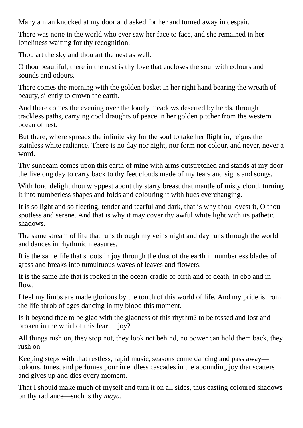Many a man knocked at my door and asked for her and turned away in despair.

There was none in the world who ever saw her face to face, and she remained in her loneliness waiting for thy recognition.

Thou art the sky and thou art the nest as well.

O thou beautiful, there in the nest is thy love that encloses the soul with colours and sounds and odours.

There comes the morning with the golden basket in her right hand bearing the wreath of beauty, silently to crown the earth.

And there comes the evening over the lonely meadows deserted by herds, through trackless paths, carrying cool draughts of peace in her golden pitcher from the western ocean of rest.

But there, where spreads the infinite sky for the soul to take her flight in, reigns the stainless white radiance. There is no day nor night, nor form nor colour, and never, never a word.

Thy sunbeam comes upon this earth of mine with arms outstretched and stands at my door the livelong day to carry back to thy feet clouds made of my tears and sighs and songs.

With fond delight thou wrappest about thy starry breast that mantle of misty cloud, turning it into numberless shapes and folds and colouring it with hues everchanging.

It is so light and so fleeting, tender and tearful and dark, that is why thou lovest it, O thou spotless and serene. And that is why it may cover thy awful white light with its pathetic shadows.

The same stream of life that runs through my veins night and day runs through the world and dances in rhythmic measures.

It is the same life that shoots in joy through the dust of the earth in numberless blades of grass and breaks into tumultuous waves of leaves and flowers.

It is the same life that is rocked in the ocean-cradle of birth and of death, in ebb and in flow.

I feel my limbs are made glorious by the touch of this world of life. And my pride is from the life-throb of ages dancing in my blood this moment.

Is it beyond thee to be glad with the gladness of this rhythm? to be tossed and lost and broken in the whirl of this fearful joy?

All things rush on, they stop not, they look not behind, no power can hold them back, they rush on.

Keeping steps with that restless, rapid music, seasons come dancing and pass away colours, tunes, and perfumes pour in endless cascades in the abounding joy that scatters and gives up and dies every moment.

That I should make much of myself and turn it on all sides, thus casting coloured shadows on thy radiance—such is thy *maya*.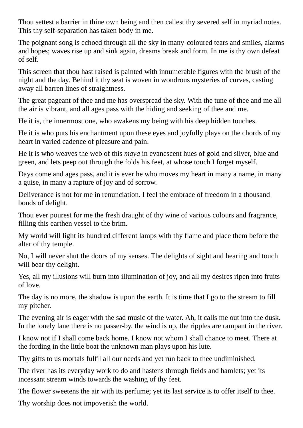Thou settest a barrier in thine own being and then callest thy severed self in myriad notes. This thy self-separation has taken body in me.

The poignant song is echoed through all the sky in many-coloured tears and smiles, alarms and hopes; waves rise up and sink again, dreams break and form. In me is thy own defeat of self.

This screen that thou hast raised is painted with innumerable figures with the brush of the night and the day. Behind it thy seat is woven in wondrous mysteries of curves, casting away all barren lines of straightness.

The great pageant of thee and me has overspread the sky. With the tune of thee and me all the air is vibrant, and all ages pass with the hiding and seeking of thee and me.

He it is, the innermost one, who awakens my being with his deep hidden touches.

He it is who puts his enchantment upon these eyes and joyfully plays on the chords of my heart in varied cadence of pleasure and pain.

He it is who weaves the web of this *maya* in evanescent hues of gold and silver, blue and green, and lets peep out through the folds his feet, at whose touch I forget myself.

Days come and ages pass, and it is ever he who moves my heart in many a name, in many a guise, in many a rapture of joy and of sorrow.

Deliverance is not for me in renunciation. I feel the embrace of freedom in a thousand bonds of delight.

Thou ever pourest for me the fresh draught of thy wine of various colours and fragrance, filling this earthen vessel to the brim.

My world will light its hundred different lamps with thy flame and place them before the altar of thy temple.

No, I will never shut the doors of my senses. The delights of sight and hearing and touch will bear thy delight.

Yes, all my illusions will burn into illumination of joy, and all my desires ripen into fruits of love.

The day is no more, the shadow is upon the earth. It is time that I go to the stream to fill my pitcher.

The evening air is eager with the sad music of the water. Ah, it calls me out into the dusk. In the lonely lane there is no passer-by, the wind is up, the ripples are rampant in the river.

I know not if I shall come back home. I know not whom I shall chance to meet. There at the fording in the little boat the unknown man plays upon his lute.

Thy gifts to us mortals fulfil all our needs and yet run back to thee undiminished.

The river has its everyday work to do and hastens through fields and hamlets; yet its incessant stream winds towards the washing of thy feet.

The flower sweetens the air with its perfume; yet its last service is to offer itself to thee.

Thy worship does not impoverish the world.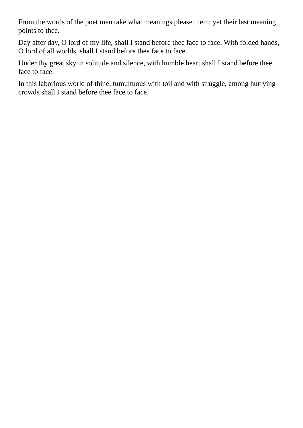From the words of the poet men take what meanings please them; yet their last meaning points to thee.

Day after day, O lord of my life, shall I stand before thee face to face. With folded hands, O lord of all worlds, shall I stand before thee face to face.

Under thy great sky in solitude and silence, with humble heart shall I stand before thee face to face.

In this laborious world of thine, tumultuous with toil and with struggle, among hurrying crowds shall I stand before thee face to face.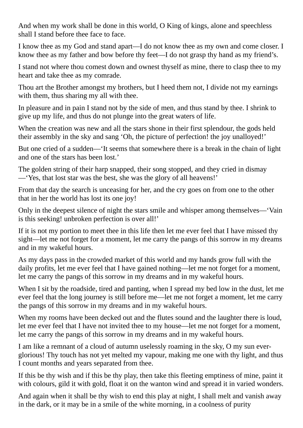And when my work shall be done in this world, O King of kings, alone and speechless shall I stand before thee face to face.

I know thee as my God and stand apart—I do not know thee as my own and come closer. I know thee as my father and bow before thy feet—I do not grasp thy hand as my friend's.

I stand not where thou comest down and ownest thyself as mine, there to clasp thee to my heart and take thee as my comrade.

Thou art the Brother amongst my brothers, but I heed them not, I divide not my earnings with them, thus sharing my all with thee.

In pleasure and in pain I stand not by the side of men, and thus stand by thee. I shrink to give up my life, and thus do not plunge into the great waters of life.

When the creation was new and all the stars shone in their first splendour, the gods held their assembly in the sky and sang 'Oh, the picture of perfection! the joy unalloyed!'

But one cried of a sudden—'It seems that somewhere there is a break in the chain of light and one of the stars has been lost.'

The golden string of their harp snapped, their song stopped, and they cried in dismay —'Yes, that lost star was the best, she was the glory of all heavens!'

From that day the search is unceasing for her, and the cry goes on from one to the other that in her the world has lost its one joy!

Only in the deepest silence of night the stars smile and whisper among themselves—'Vain is this seeking! unbroken perfection is over all!'

If it is not my portion to meet thee in this life then let me ever feel that I have missed thy sight—let me not forget for a moment, let me carry the pangs of this sorrow in my dreams and in my wakeful hours.

As my days pass in the crowded market of this world and my hands grow full with the daily profits, let me ever feel that I have gained nothing—let me not forget for a moment, let me carry the pangs of this sorrow in my dreams and in my wakeful hours.

When I sit by the roadside, tired and panting, when I spread my bed low in the dust, let me ever feel that the long journey is still before me—let me not forget a moment, let me carry the pangs of this sorrow in my dreams and in my wakeful hours.

When my rooms have been decked out and the flutes sound and the laughter there is loud, let me ever feel that I have not invited thee to my house—let me not forget for a moment, let me carry the pangs of this sorrow in my dreams and in my wakeful hours.

I am like a remnant of a cloud of autumn uselessly roaming in the sky, O my sun everglorious! Thy touch has not yet melted my vapour, making me one with thy light, and thus I count months and years separated from thee.

If this be thy wish and if this be thy play, then take this fleeting emptiness of mine, paint it with colours, gild it with gold, float it on the wanton wind and spread it in varied wonders.

And again when it shall be thy wish to end this play at night, I shall melt and vanish away in the dark, or it may be in a smile of the white morning, in a coolness of purity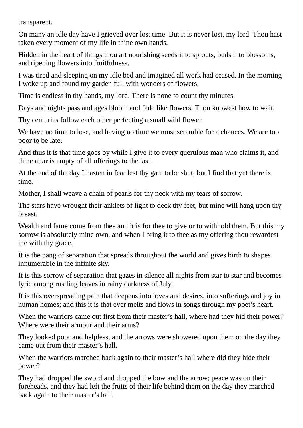transparent.

On many an idle day have I grieved over lost time. But it is never lost, my lord. Thou hast taken every moment of my life in thine own hands.

Hidden in the heart of things thou art nourishing seeds into sprouts, buds into blossoms, and ripening flowers into fruitfulness.

I was tired and sleeping on my idle bed and imagined all work had ceased. In the morning I woke up and found my garden full with wonders of flowers.

Time is endless in thy hands, my lord. There is none to count thy minutes.

Days and nights pass and ages bloom and fade like flowers. Thou knowest how to wait.

Thy centuries follow each other perfecting a small wild flower.

We have no time to lose, and having no time we must scramble for a chances. We are too poor to be late.

And thus it is that time goes by while I give it to every querulous man who claims it, and thine altar is empty of all offerings to the last.

At the end of the day I hasten in fear lest thy gate to be shut; but I find that yet there is time.

Mother, I shall weave a chain of pearls for thy neck with my tears of sorrow.

The stars have wrought their anklets of light to deck thy feet, but mine will hang upon thy breast.

Wealth and fame come from thee and it is for thee to give or to withhold them. But this my sorrow is absolutely mine own, and when I bring it to thee as my offering thou rewardest me with thy grace.

It is the pang of separation that spreads throughout the world and gives birth to shapes innumerable in the infinite sky.

It is this sorrow of separation that gazes in silence all nights from star to star and becomes lyric among rustling leaves in rainy darkness of July.

It is this overspreading pain that deepens into loves and desires, into sufferings and joy in human homes; and this it is that ever melts and flows in songs through my poet's heart.

When the warriors came out first from their master's hall, where had they hid their power? Where were their armour and their arms?

They looked poor and helpless, and the arrows were showered upon them on the day they came out from their master's hall.

When the warriors marched back again to their master's hall where did they hide their power?

They had dropped the sword and dropped the bow and the arrow; peace was on their foreheads, and they had left the fruits of their life behind them on the day they marched back again to their master's hall.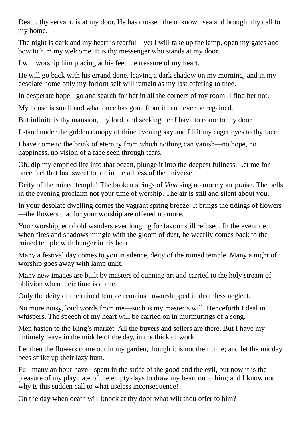Death, thy servant, is at my door. He has crossed the unknown sea and brought thy call to my home.

The night is dark and my heart is fearful—yet I will take up the lamp, open my gates and bow to him my welcome. It is thy messenger who stands at my door.

I will worship him placing at his feet the treasure of my heart.

He will go back with his errand done, leaving a dark shadow on my morning; and in my desolate home only my forlorn self will remain as my last offering to thee.

In desperate hope I go and search for her in all the corners of my room; I find her not.

My house is small and what once has gone from it can never be regained.

But infinite is thy mansion, my lord, and seeking her I have to come to thy door.

I stand under the golden canopy of thine evening sky and I lift my eager eyes to thy face.

I have come to the brink of eternity from which nothing can vanish—no hope, no happiness, no vision of a face seen through tears.

Oh, dip my emptied life into that ocean, plunge it into the deepest fullness. Let me for once feel that lost sweet touch in the allness of the universe.

Deity of the ruined temple! The broken strings of *Vina* sing no more your praise. The bells in the evening proclaim not your time of worship. The air is still and silent about you.

In your desolate dwelling comes the vagrant spring breeze. It brings the tidings of flowers —the flowers that for your worship are offered no more.

Your worshipper of old wanders ever longing for favour still refused. In the eventide, when fires and shadows mingle with the gloom of dust, he wearily comes back to the ruined temple with hunger in his heart.

Many a festival day comes to you in silence, deity of the ruined temple. Many a night of worship goes away with lamp unlit.

Many new images are built by masters of cunning art and carried to the holy stream of oblivion when their time is come.

Only the deity of the ruined temple remains unworshipped in deathless neglect.

No more noisy, loud words from me—such is my master's will. Henceforth I deal in whispers. The speech of my heart will be carried on in murmurings of a song.

Men hasten to the King's market. All the buyers and sellers are there. But I have my untimely leave in the middle of the day, in the thick of work.

Let then the flowers come out in my garden, though it is not their time; and let the midday bees strike up their lazy hum.

Full many an hour have I spent in the strife of the good and the evil, but now it is the pleasure of my playmate of the empty days to draw my heart on to him; and I know not why is this sudden call to what useless inconsequence!

On the day when death will knock at thy door what wilt thou offer to him?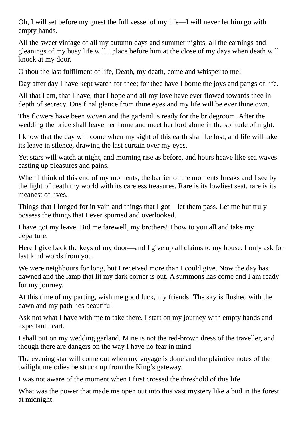Oh, I will set before my guest the full vessel of my life—I will never let him go with empty hands.

All the sweet vintage of all my autumn days and summer nights, all the earnings and gleanings of my busy life will I place before him at the close of my days when death will knock at my door.

O thou the last fulfilment of life, Death, my death, come and whisper to me!

Day after day I have kept watch for thee; for thee have I borne the joys and pangs of life.

All that I am, that I have, that I hope and all my love have ever flowed towards thee in depth of secrecy. One final glance from thine eyes and my life will be ever thine own.

The flowers have been woven and the garland is ready for the bridegroom. After the wedding the bride shall leave her home and meet her lord alone in the solitude of night.

I know that the day will come when my sight of this earth shall be lost, and life will take its leave in silence, drawing the last curtain over my eyes.

Yet stars will watch at night, and morning rise as before, and hours heave like sea waves casting up pleasures and pains.

When I think of this end of my moments, the barrier of the moments breaks and I see by the light of death thy world with its careless treasures. Rare is its lowliest seat, rare is its meanest of lives.

Things that I longed for in vain and things that I got—let them pass. Let me but truly possess the things that I ever spurned and overlooked.

I have got my leave. Bid me farewell, my brothers! I bow to you all and take my departure.

Here I give back the keys of my door—and I give up all claims to my house. I only ask for last kind words from you.

We were neighbours for long, but I received more than I could give. Now the day has dawned and the lamp that lit my dark corner is out. A summons has come and I am ready for my journey.

At this time of my parting, wish me good luck, my friends! The sky is flushed with the dawn and my path lies beautiful.

Ask not what I have with me to take there. I start on my journey with empty hands and expectant heart.

I shall put on my wedding garland. Mine is not the red-brown dress of the traveller, and though there are dangers on the way I have no fear in mind.

The evening star will come out when my voyage is done and the plaintive notes of the twilight melodies be struck up from the King's gateway.

I was not aware of the moment when I first crossed the threshold of this life.

What was the power that made me open out into this vast mystery like a bud in the forest at midnight!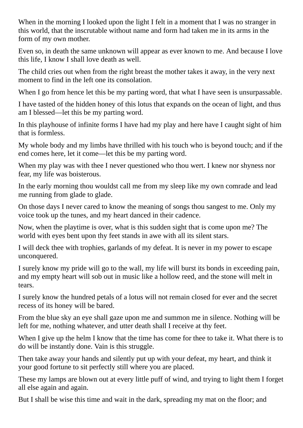When in the morning I looked upon the light I felt in a moment that I was no stranger in this world, that the inscrutable without name and form had taken me in its arms in the form of my own mother.

Even so, in death the same unknown will appear as ever known to me. And because I love this life, I know I shall love death as well.

The child cries out when from the right breast the mother takes it away, in the very next moment to find in the left one its consolation.

When I go from hence let this be my parting word, that what I have seen is unsurpassable.

I have tasted of the hidden honey of this lotus that expands on the ocean of light, and thus am I blessed—let this be my parting word.

In this playhouse of infinite forms I have had my play and here have I caught sight of him that is formless.

My whole body and my limbs have thrilled with his touch who is beyond touch; and if the end comes here, let it come—let this be my parting word.

When my play was with thee I never questioned who thou wert. I knew nor shyness nor fear, my life was boisterous.

In the early morning thou wouldst call me from my sleep like my own comrade and lead me running from glade to glade.

On those days I never cared to know the meaning of songs thou sangest to me. Only my voice took up the tunes, and my heart danced in their cadence.

Now, when the playtime is over, what is this sudden sight that is come upon me? The world with eyes bent upon thy feet stands in awe with all its silent stars.

I will deck thee with trophies, garlands of my defeat. It is never in my power to escape unconquered.

I surely know my pride will go to the wall, my life will burst its bonds in exceeding pain, and my empty heart will sob out in music like a hollow reed, and the stone will melt in tears.

I surely know the hundred petals of a lotus will not remain closed for ever and the secret recess of its honey will be bared.

From the blue sky an eye shall gaze upon me and summon me in silence. Nothing will be left for me, nothing whatever, and utter death shall I receive at thy feet.

When I give up the helm I know that the time has come for thee to take it. What there is to do will be instantly done. Vain is this struggle.

Then take away your hands and silently put up with your defeat, my heart, and think it your good fortune to sit perfectly still where you are placed.

These my lamps are blown out at every little puff of wind, and trying to light them I forget all else again and again.

But I shall be wise this time and wait in the dark, spreading my mat on the floor; and